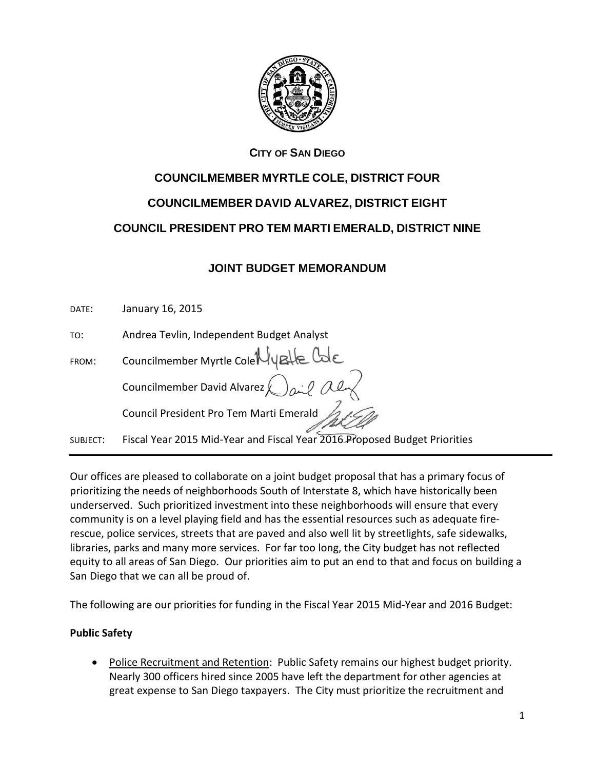

## **CITY OF SAN DIEGO**

# **COUNCILMEMBER MYRTLE COLE, DISTRICT FOUR COUNCILMEMBER DAVID ALVAREZ, DISTRICT EIGHT**

**COUNCIL PRESIDENT PRO TEM MARTI EMERALD, DISTRICT NINE**

# **JOINT BUDGET MEMORANDUM**

DATE: January 16, 2015

TO: Andrea Tevlin, Independent Budget Analyst

| FROM:    | Councilmember Myrtle Cole Hygle Cole                                      |
|----------|---------------------------------------------------------------------------|
|          | Councilmember David Alvarez $\bigcirc$ and all                            |
|          | Council President Pro Tem Marti Emerald A.J.C.                            |
| SUBJECT: | Fiscal Year 2015 Mid-Year and Fiscal Year 2016 Proposed Budget Priorities |

Our offices are pleased to collaborate on a joint budget proposal that has a primary focus of prioritizing the needs of neighborhoods South of Interstate 8, which have historically been underserved. Such prioritized investment into these neighborhoods will ensure that every community is on a level playing field and has the essential resources such as adequate firerescue, police services, streets that are paved and also well lit by streetlights, safe sidewalks, libraries, parks and many more services. For far too long, the City budget has not reflected equity to all areas of San Diego. Our priorities aim to put an end to that and focus on building a San Diego that we can all be proud of.

The following are our priorities for funding in the Fiscal Year 2015 Mid-Year and 2016 Budget:

# **Public Safety**

 Police Recruitment and Retention: Public Safety remains our highest budget priority. Nearly 300 officers hired since 2005 have left the department for other agencies at great expense to San Diego taxpayers.The City must prioritize the recruitment and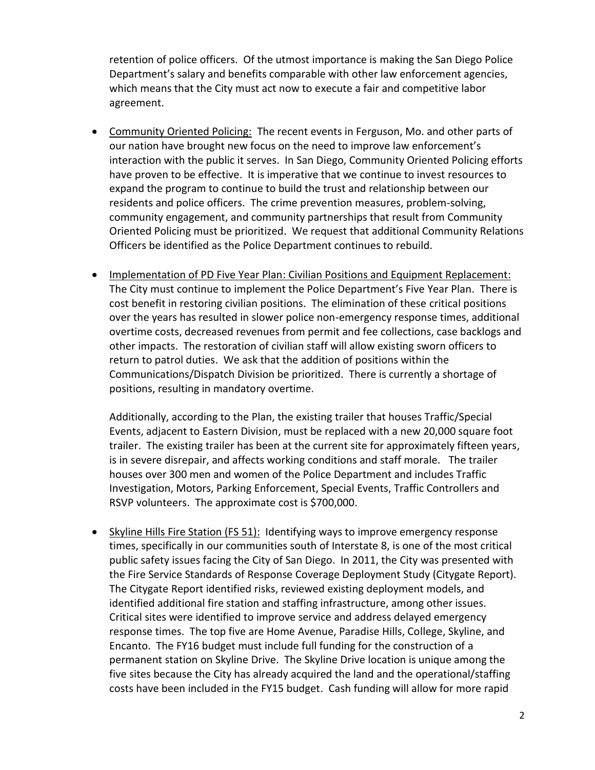retention of police officers. Of the utmost importance is making the San Diego Police Department's salary and benefits comparable with other law enforcement agencies, which means that the City must act now to execute a fair and competitive labor agreement.

- Community Oriented Policing: The recent events in Ferguson, Mo. and other parts of our nation have brought new focus on the need to improve law enforcement's interaction with the public it serves. In San Diego, Community Oriented Policing efforts have proven to be effective. It is imperative that we continue to invest resources to expand the program to continue to build the trust and relationship between our residents and police officers. The crime prevention measures, problem-solving, community engagement, and community partnerships that result from Community Oriented Policing must be prioritized. We request that additional Community Relations Officers be identified as the Police Department continues to rebuild.
- Implementation of PD Five Year Plan: Civilian Positions and Equipment Replacement: The City must continue to implement the Police Department's Five Year Plan. There is cost benefit in restoring civilian positions. The elimination of these critical positions over the years has resulted in slower police non-emergency response times, additional overtime costs, decreased revenues from permit and fee collections, case backlogs and other impacts. The restoration of civilian staff will allow existing sworn officers to return to patrol duties. We ask that the addition of positions within the Communications/Dispatch Division be prioritized. There is currently a shortage of positions, resulting in mandatory overtime.

Additionally, according to the Plan, the existing trailer that houses Traffic/Special Events, adjacent to Eastern Division, must be replaced with a new 20,000 square foot trailer. The existing trailer has been at the current site for approximately fifteen years, is in severe disrepair, and affects working conditions and staff morale. The trailer houses over 300 men and women of the Police Department and includes Traffic Investigation, Motors, Parking Enforcement, Special Events, Traffic Controllers and RSVP volunteers. The approximate cost is \$700,000.

• Skyline Hills Fire Station (FS 51): Identifying ways to improve emergency response times, specifically in our communities south of Interstate 8, is one of the most critical public safety issues facing the City of San Diego. In 2011, the City was presented with the Fire Service Standards of Response Coverage Deployment Study (Citygate Report). The Citygate Report identified risks, reviewed existing deployment models, and identified additional fire station and staffing infrastructure, among other issues. Critical sites were identified to improve service and address delayed emergency response times. The top five are Home Avenue, Paradise Hills, College, Skyline, and Encanto. The FY16 budget must include full funding for the construction of a permanent station on Skyline Drive. The Skyline Drive location is unique among the five sites because the City has already acquired the land and the operational/staffing costs have been included in the FY15 budget. Cash funding will allow for more rapid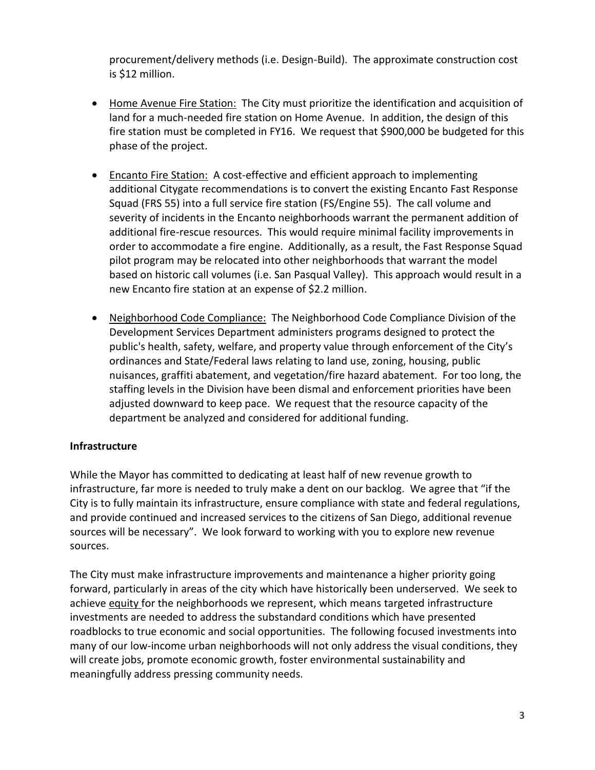procurement/delivery methods (i.e. Design-Build). The approximate construction cost is \$12 million.

- Home Avenue Fire Station: The City must prioritize the identification and acquisition of land for a much-needed fire station on Home Avenue. In addition, the design of this fire station must be completed in FY16. We request that \$900,000 be budgeted for this phase of the project.
- Encanto Fire Station: A cost-effective and efficient approach to implementing additional Citygate recommendations is to convert the existing Encanto Fast Response Squad (FRS 55) into a full service fire station (FS/Engine 55). The call volume and severity of incidents in the Encanto neighborhoods warrant the permanent addition of additional fire-rescue resources. This would require minimal facility improvements in order to accommodate a fire engine. Additionally, as a result, the Fast Response Squad pilot program may be relocated into other neighborhoods that warrant the model based on historic call volumes (i.e. San Pasqual Valley). This approach would result in a new Encanto fire station at an expense of \$2.2 million.
- Neighborhood Code Compliance: The Neighborhood Code Compliance Division of the Development Services Department administers programs designed to protect the public's health, safety, welfare, and property value through enforcement of the City's ordinances and State/Federal laws relating to land use, zoning, housing, public nuisances, graffiti abatement, and vegetation/fire hazard abatement. For too long, the staffing levels in the Division have been dismal and enforcement priorities have been adjusted downward to keep pace. We request that the resource capacity of the department be analyzed and considered for additional funding.

#### **Infrastructure**

While the Mayor has committed to dedicating at least half of new revenue growth to infrastructure, far more is needed to truly make a dent on our backlog. We agree that "if the City is to fully maintain its infrastructure, ensure compliance with state and federal regulations, and provide continued and increased services to the citizens of San Diego, additional revenue sources will be necessary". We look forward to working with you to explore new revenue sources.

The City must make infrastructure improvements and maintenance a higher priority going forward, particularly in areas of the city which have historically been underserved. We seek to achieve equity for the neighborhoods we represent, which means targeted infrastructure investments are needed to address the substandard conditions which have presented roadblocks to true economic and social opportunities. The following focused investments into many of our low-income urban neighborhoods will not only address the visual conditions, they will create jobs, promote economic growth, foster environmental sustainability and meaningfully address pressing community needs.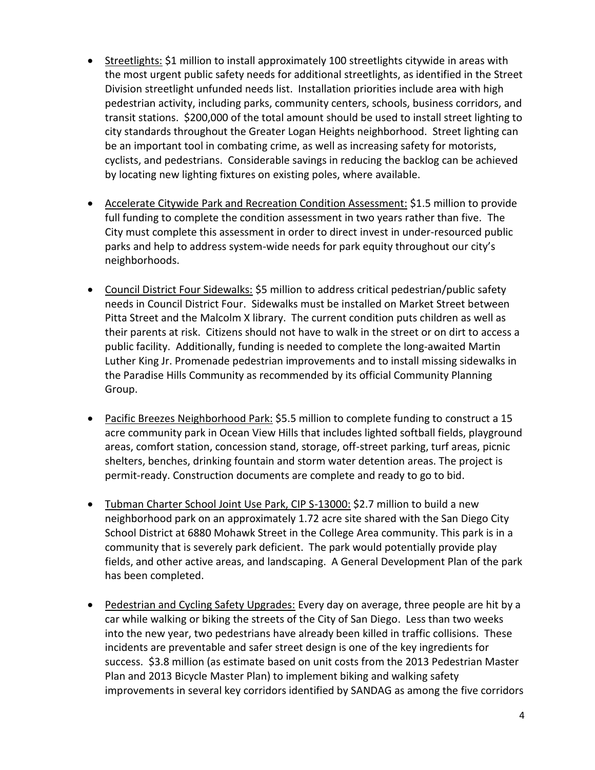- Streetlights: \$1 million to install approximately 100 streetlights citywide in areas with the most urgent public safety needs for additional streetlights, as identified in the Street Division streetlight unfunded needs list. Installation priorities include area with high pedestrian activity, including parks, community centers, schools, business corridors, and transit stations. \$200,000 of the total amount should be used to install street lighting to city standards throughout the Greater Logan Heights neighborhood. Street lighting can be an important tool in combating crime, as well as increasing safety for motorists, cyclists, and pedestrians. Considerable savings in reducing the backlog can be achieved by locating new lighting fixtures on existing poles, where available.
- Accelerate Citywide Park and Recreation Condition Assessment: \$1.5 million to provide full funding to complete the condition assessment in two years rather than five. The City must complete this assessment in order to direct invest in under-resourced public parks and help to address system-wide needs for park equity throughout our city's neighborhoods.
- Council District Four Sidewalks: \$5 million to address critical pedestrian/public safety needs in Council District Four. Sidewalks must be installed on Market Street between Pitta Street and the Malcolm X library. The current condition puts children as well as their parents at risk. Citizens should not have to walk in the street or on dirt to access a public facility. Additionally, funding is needed to complete the long-awaited Martin Luther King Jr. Promenade pedestrian improvements and to install missing sidewalks in the Paradise Hills Community as recommended by its official Community Planning Group.
- Pacific Breezes Neighborhood Park: \$5.5 million to complete funding to construct a 15 acre community park in Ocean View Hills that includes lighted softball fields, playground areas, comfort station, concession stand, storage, off-street parking, turf areas, picnic shelters, benches, drinking fountain and storm water detention areas. The project is permit-ready. Construction documents are complete and ready to go to bid.
- Tubman Charter School Joint Use Park, CIP S-13000: \$2.7 million to build a new neighborhood park on an approximately 1.72 acre site shared with the San Diego City School District at 6880 Mohawk Street in the College Area community. This park is in a community that is severely park deficient. The park would potentially provide play fields, and other active areas, and landscaping. A General Development Plan of the park has been completed.
- Pedestrian and Cycling Safety Upgrades: Every day on average, three people are hit by a car while walking or biking the streets of the City of San Diego. Less than two weeks into the new year[, two pedestrians](http://app.greenrope.com/c1.pl?0084571012259c48be346dda6a144f622319f6c7568cdb93) have already been [killed](http://app.greenrope.com/c1.pl?29bca2d74d23cccc183c056cbfec52eecbe898ae62f31878) in traffic collisions. These incidents are preventable and safer street design is one of the key ingredients for success. \$3.8 million (as estimate based on unit costs from the 2013 Pedestrian Master Plan and 2013 Bicycle Master Plan) to implement biking and walking safety improvements in several key corridors identified by SANDAG as among the five corridors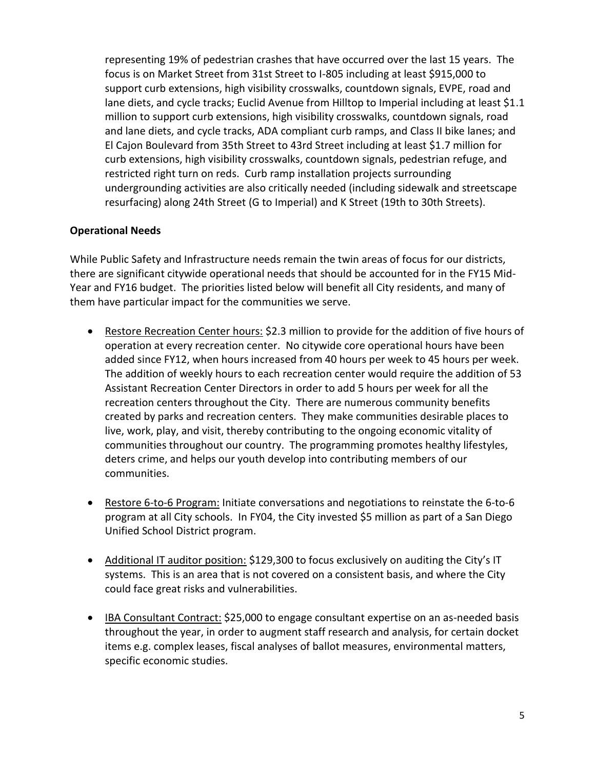representing 19% of pedestrian crashes that have occurred over the last 15 years. The focus is on Market Street from 31st Street to I-805 including at least \$915,000 to support curb extensions, high visibility crosswalks, countdown signals, EVPE, road and lane diets, and cycle tracks; Euclid Avenue from Hilltop to Imperial including at least \$1.1 million to support curb extensions, high visibility crosswalks, countdown signals, road and lane diets, and cycle tracks, ADA compliant curb ramps, and Class II bike lanes; and El Cajon Boulevard from 35th Street to 43rd Street including at least \$1.7 million for curb extensions, high visibility crosswalks, countdown signals, pedestrian refuge, and restricted right turn on reds. Curb ramp installation projects surrounding undergrounding activities are also critically needed (including sidewalk and streetscape resurfacing) along 24th Street (G to Imperial) and K Street (19th to 30th Streets).

#### **Operational Needs**

While Public Safety and Infrastructure needs remain the twin areas of focus for our districts, there are significant citywide operational needs that should be accounted for in the FY15 Mid-Year and FY16 budget. The priorities listed below will benefit all City residents, and many of them have particular impact for the communities we serve.

- Restore Recreation Center hours: \$2.3 million to provide for the addition of five hours of operation at every recreation center. No citywide core operational hours have been added since FY12, when hours increased from 40 hours per week to 45 hours per week. The addition of weekly hours to each recreation center would require the addition of 53 Assistant Recreation Center Directors in order to add 5 hours per week for all the recreation centers throughout the City. There are numerous community benefits created by parks and recreation centers. They make communities desirable places to live, work, play, and visit, thereby contributing to the ongoing economic vitality of communities throughout our country. The programming promotes healthy lifestyles, deters crime, and helps our youth develop into contributing members of our communities.
- Restore 6-to-6 Program: Initiate conversations and negotiations to reinstate the 6-to-6 program at all City schools. In FY04, the City invested \$5 million as part of a San Diego Unified School District program.
- Additional IT auditor position: \$129,300 to focus exclusively on auditing the City's IT systems. This is an area that is not covered on a consistent basis, and where the City could face great risks and vulnerabilities.
- IBA Consultant Contract: \$25,000 to engage consultant expertise on an as-needed basis throughout the year, in order to augment staff research and analysis, for certain docket items e.g. complex leases, fiscal analyses of ballot measures, environmental matters, specific economic studies.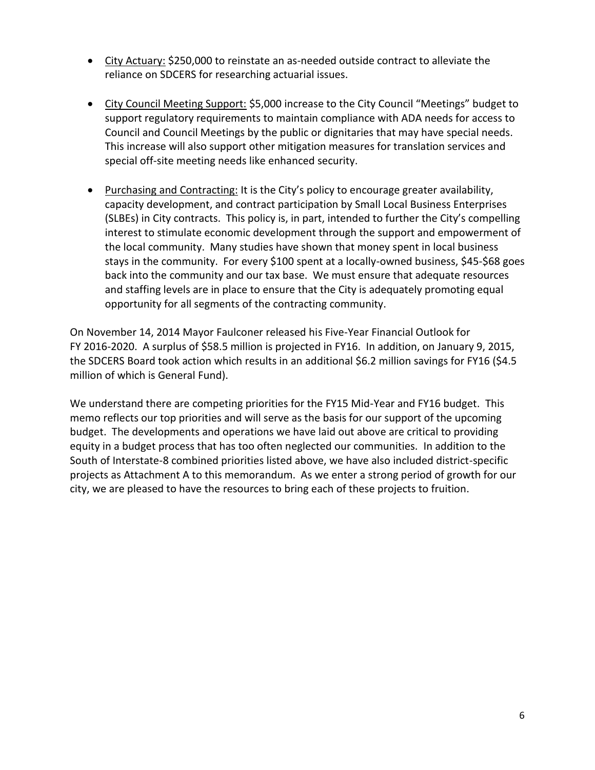- City Actuary: \$250,000 to reinstate an as-needed outside contract to alleviate the reliance on SDCERS for researching actuarial issues.
- City Council Meeting Support: \$5,000 increase to the City Council "Meetings" budget to support regulatory requirements to maintain compliance with ADA needs for access to Council and Council Meetings by the public or dignitaries that may have special needs. This increase will also support other mitigation measures for translation services and special off-site meeting needs like enhanced security.
- Purchasing and Contracting: It is the City's policy to encourage greater availability, capacity development, and contract participation by Small Local Business Enterprises (SLBEs) in City contracts. This policy is, in part, intended to further the City's compelling interest to stimulate economic development through the support and empowerment of the local community. Many studies have shown that money spent in local business stays in the community. For every \$100 spent at a locally-owned business, \$45-\$68 goes back into the community and our tax base. We must ensure that adequate resources and staffing levels are in place to ensure that the City is adequately promoting equal opportunity for all segments of the contracting community.

On November 14, 2014 Mayor Faulconer released his Five-Year Financial Outlook for FY 2016-2020. A surplus of \$58.5 million is projected in FY16. In addition, on January 9, 2015, the SDCERS Board took action which results in an additional \$6.2 million savings for FY16 (\$4.5 million of which is General Fund).

We understand there are competing priorities for the FY15 Mid-Year and FY16 budget. This memo reflects our top priorities and will serve as the basis for our support of the upcoming budget. The developments and operations we have laid out above are critical to providing equity in a budget process that has too often neglected our communities. In addition to the South of Interstate-8 combined priorities listed above, we have also included district-specific projects as Attachment A to this memorandum. As we enter a strong period of growth for our city, we are pleased to have the resources to bring each of these projects to fruition.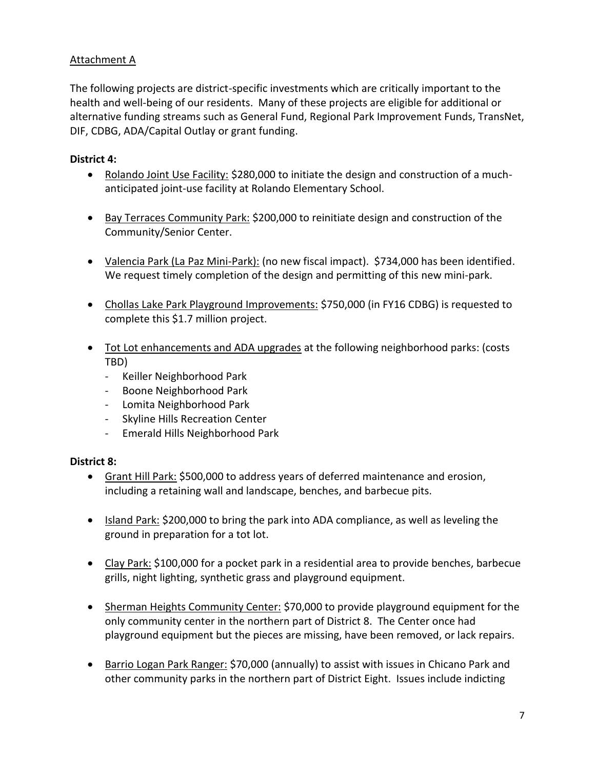## Attachment A

The following projects are district-specific investments which are critically important to the health and well-being of our residents. Many of these projects are eligible for additional or alternative funding streams such as General Fund, Regional Park Improvement Funds, TransNet, DIF, CDBG, ADA/Capital Outlay or grant funding.

## **District 4:**

- Rolando Joint Use Facility: \$280,000 to initiate the design and construction of a muchanticipated joint-use facility at Rolando Elementary School.
- Bay Terraces Community Park: \$200,000 to reinitiate design and construction of the Community/Senior Center.
- Valencia Park (La Paz Mini-Park): (no new fiscal impact). \$734,000 has been identified. We request timely completion of the design and permitting of this new mini-park.
- Chollas Lake Park Playground Improvements: \$750,000 (in FY16 CDBG) is requested to complete this \$1.7 million project.
- Tot Lot enhancements and ADA upgrades at the following neighborhood parks: (costs TBD)
	- Keiller Neighborhood Park
	- Boone Neighborhood Park
	- Lomita Neighborhood Park
	- Skyline Hills Recreation Center
	- Emerald Hills Neighborhood Park

# **District 8:**

- Grant Hill Park: \$500,000 to address years of deferred maintenance and erosion, including a retaining wall and landscape, benches, and barbecue pits.
- Island Park: \$200,000 to bring the park into ADA compliance, as well as leveling the ground in preparation for a tot lot.
- Clay Park: \$100,000 for a pocket park in a residential area to provide benches, barbecue grills, night lighting, synthetic grass and playground equipment.
- Sherman Heights Community Center: \$70,000 to provide playground equipment for the only community center in the northern part of District 8. The Center once had playground equipment but the pieces are missing, have been removed, or lack repairs.
- Barrio Logan Park Ranger: \$70,000 (annually) to assist with issues in Chicano Park and other community parks in the northern part of District Eight. Issues include indicting